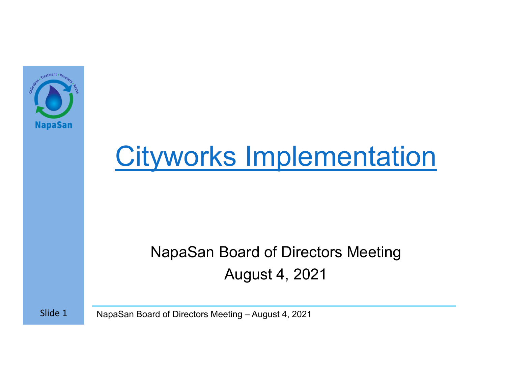

# Cityworks Implementation

#### NapaSan Board of Directors Meeting August 4, 2021

Slide 1NapaSan Board of Directors Meeting – August 4, 2021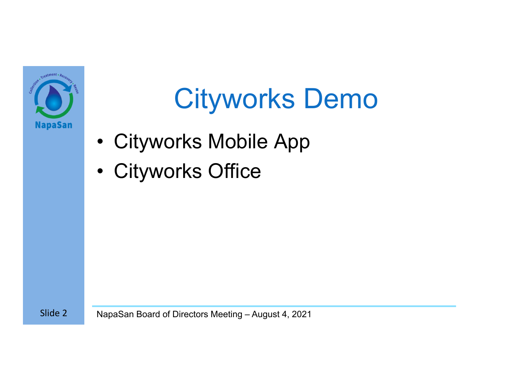

#### Cityworks Demo

- •Cityworks Mobile App
- $\bullet$ Cityworks Office

Slide 2NapaSan Board of Directors Meeting – August 4, 2021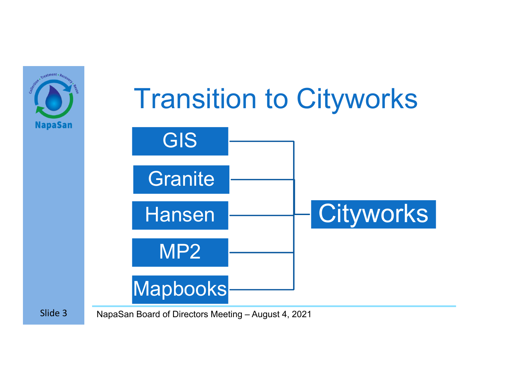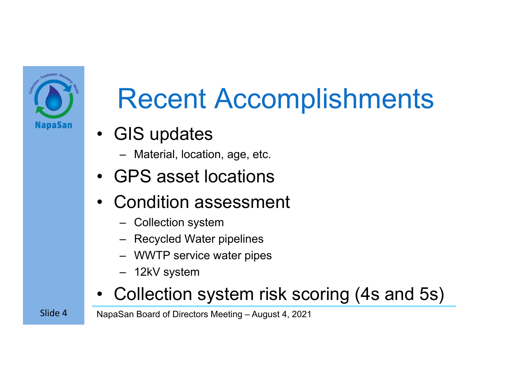

## Recent Accomplishments

- GIS updates
	- –Material, location, age, etc.
- •GPS asset locations
- • Condition assessment
	- –Collection system
	- –Recycled Water pipelines
	- WWTP service water pipes
	- 12kV system
- •Collection system risk scoring (4s and 5s)

NapaSan Board of Directors Meeting – August 4, 2021

Slide 4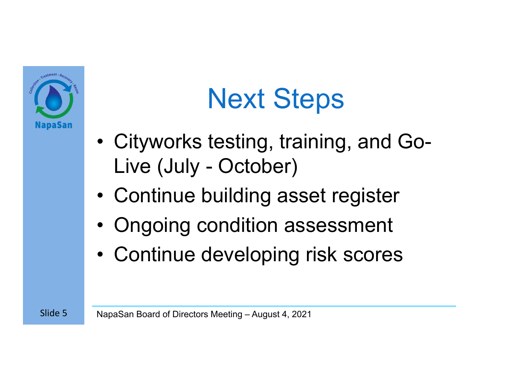

## Next Steps

- • Cityworks testing, training, and Go-Live (July - October)
- •Continue building asset register
- •Ongoing condition assessment
- •Continue developing risk scores

NapaSan Board of Directors Meeting – August 4, 2021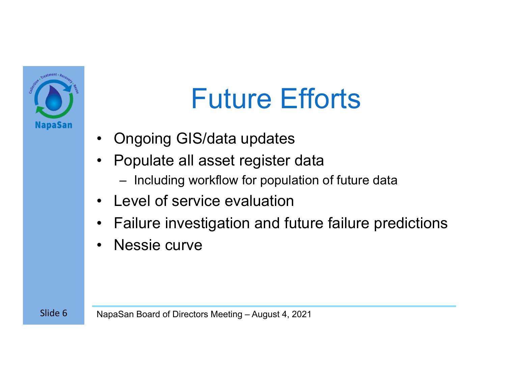

#### Future Efforts

- •Ongoing GIS/data updates
- • Populate all asset register data
	- Including workflow for population of future data
- Level of service evaluation
- $\bullet$ Failure investigation and future failure predictions
- •Nessie curve

Slide 6NapaSan Board of Directors Meeting – August 4, 2021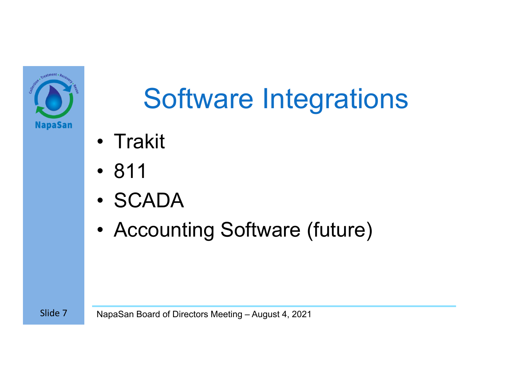

# Software Integrations

- Trakit
- 811
- SCADA
- •Accounting Software (future)

Slide 7NapaSan Board of Directors Meeting – August 4, 2021